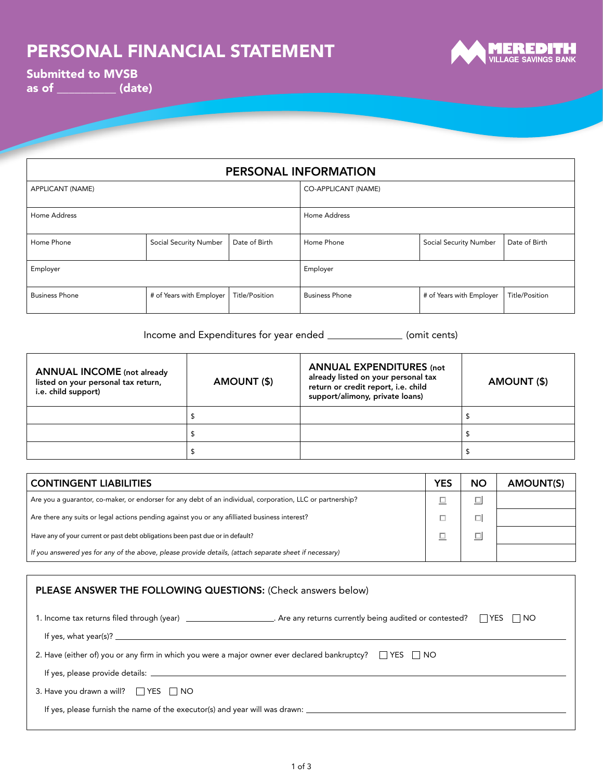

Submitted to MVSB as of \_\_\_\_\_\_\_\_\_\_ (date)

| PERSONAL INFORMATION  |                          |                |                            |                               |                |  |  |  |
|-----------------------|--------------------------|----------------|----------------------------|-------------------------------|----------------|--|--|--|
| APPLICANT (NAME)      |                          |                | <b>CO-APPLICANT (NAME)</b> |                               |                |  |  |  |
| Home Address          |                          |                | Home Address               |                               |                |  |  |  |
| Home Phone            | Social Security Number   | Date of Birth  | Home Phone                 | <b>Social Security Number</b> | Date of Birth  |  |  |  |
| Employer              |                          |                | Employer                   |                               |                |  |  |  |
| <b>Business Phone</b> | # of Years with Employer | Title/Position | <b>Business Phone</b>      | # of Years with Employer      | Title/Position |  |  |  |

Income and Expenditures for year ended \_\_\_\_\_\_\_\_\_\_\_\_\_\_\_ (omit cents)

| <b>ANNUAL INCOME</b> (not already<br>listed on your personal tax return,<br>i.e. child support) | AMOUNT (\$) | <b>ANNUAL EXPENDITURES (not</b><br>already listed on your personal tax<br>return or credit report, i.e. child<br>support/alimony, private loans) | AMOUNT (\$) |
|-------------------------------------------------------------------------------------------------|-------------|--------------------------------------------------------------------------------------------------------------------------------------------------|-------------|
|                                                                                                 |             |                                                                                                                                                  |             |
|                                                                                                 |             |                                                                                                                                                  |             |
|                                                                                                 |             |                                                                                                                                                  |             |

| <b>CONTINGENT LIABILITIES</b>                                                                              | YES | <b>NO</b> | AMOUNT(S) |
|------------------------------------------------------------------------------------------------------------|-----|-----------|-----------|
| Are you a quarantor, co-maker, or endorser for any debt of an individual, corporation, LLC or partnership? |     |           |           |
| Are there any suits or legal actions pending against you or any afilliated business interest?              |     |           |           |
| Have any of your current or past debt obligations been past due or in default?                             |     |           |           |
| If you answered yes for any of the above, please provide details, (attach separate sheet if necessary)     |     |           |           |

| PLEASE ANSWER THE FOLLOWING QUESTIONS: (Check answers below)                                                                                                                                                                                                                              |                                                                                                                    |  |  |  |  |  |  |
|-------------------------------------------------------------------------------------------------------------------------------------------------------------------------------------------------------------------------------------------------------------------------------------------|--------------------------------------------------------------------------------------------------------------------|--|--|--|--|--|--|
|                                                                                                                                                                                                                                                                                           |                                                                                                                    |  |  |  |  |  |  |
| If yes, what year(s)? $\frac{1}{2}$ and $\frac{1}{2}$ and $\frac{1}{2}$ and $\frac{1}{2}$ and $\frac{1}{2}$ and $\frac{1}{2}$ and $\frac{1}{2}$ and $\frac{1}{2}$ and $\frac{1}{2}$ and $\frac{1}{2}$ and $\frac{1}{2}$ and $\frac{1}{2}$ and $\frac{1}{2}$ and $\frac{1}{2}$ and $\frac$ |                                                                                                                    |  |  |  |  |  |  |
|                                                                                                                                                                                                                                                                                           | 2. Have (either of) you or any firm in which you were a major owner ever declared bankruptcy? $\Box$ YES $\Box$ NO |  |  |  |  |  |  |
|                                                                                                                                                                                                                                                                                           |                                                                                                                    |  |  |  |  |  |  |
| 3. Have you drawn a will? $\Box$ YES $\Box$ NO                                                                                                                                                                                                                                            |                                                                                                                    |  |  |  |  |  |  |
|                                                                                                                                                                                                                                                                                           |                                                                                                                    |  |  |  |  |  |  |
|                                                                                                                                                                                                                                                                                           |                                                                                                                    |  |  |  |  |  |  |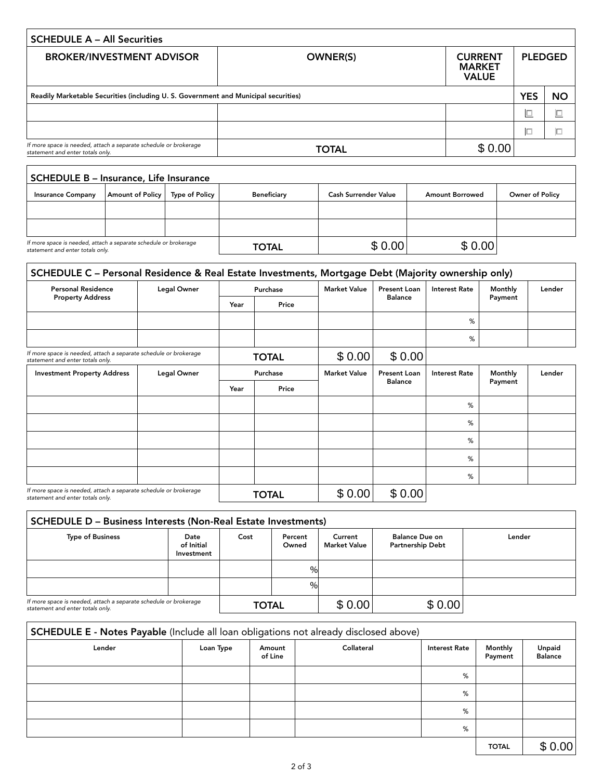| <b>BROKER/INVESTMENT ADVISOR</b>                                                                     | <b>OWNER(S)</b> | <b>CURRENT</b><br><b>MARKET</b><br><b>VALUE</b> |            | <b>PLEDGED</b> |
|------------------------------------------------------------------------------------------------------|-----------------|-------------------------------------------------|------------|----------------|
| Readily Marketable Securities (including U.S. Government and Municipal securities)                   |                 |                                                 | <b>YES</b> | <b>NO</b>      |
|                                                                                                      |                 |                                                 | $\Box$     |                |
|                                                                                                      |                 |                                                 | $\Box$     |                |
| If more space is needed, attach a separate schedule or brokerage<br>statement and enter totals only. | <b>TOTAL</b>    | \$0.00                                          |            |                |

| <b>SCHEDULE B - Insurance, Life Insurance</b>                                                        |                  |                |                    |                      |                        |                 |  |  |  |
|------------------------------------------------------------------------------------------------------|------------------|----------------|--------------------|----------------------|------------------------|-----------------|--|--|--|
| <b>Insurance Company</b>                                                                             | Amount of Policy | Type of Policy | <b>Beneficiary</b> | Cash Surrender Value | <b>Amount Borrowed</b> | Owner of Policy |  |  |  |
|                                                                                                      |                  |                |                    |                      |                        |                 |  |  |  |
|                                                                                                      |                  |                |                    |                      |                        |                 |  |  |  |
| If more space is needed, attach a separate schedule or brokerage<br>statement and enter totals only. |                  |                | <b>TOTAL</b>       | \$0.00               | \$0.00                 |                 |  |  |  |

Г

| SCHEDULE C - Personal Residence & Real Estate Investments, Mortgage Debt (Majority ownership only)   |                                                 |                     |                                       |                      |                |                      |         |        |
|------------------------------------------------------------------------------------------------------|-------------------------------------------------|---------------------|---------------------------------------|----------------------|----------------|----------------------|---------|--------|
| <b>Personal Residence</b>                                                                            | Legal Owner                                     |                     | Purchase                              | <b>Market Value</b>  | Present Loan   | <b>Interest Rate</b> | Monthly | Lender |
| <b>Property Address</b>                                                                              |                                                 | Year                | Price                                 |                      | <b>Balance</b> |                      | Payment |        |
|                                                                                                      |                                                 |                     |                                       |                      |                | %                    |         |        |
|                                                                                                      |                                                 |                     |                                       |                      |                | %                    |         |        |
| If more space is needed, attach a separate schedule or brokerage<br>statement and enter totals only. |                                                 |                     | <b>TOTAL</b>                          | \$0.00               | \$0.00         |                      |         |        |
| <b>Investment Property Address</b>                                                                   | <b>Legal Owner</b><br>Purchase<br>Year<br>Price | <b>Market Value</b> | <b>Present Loan</b><br><b>Balance</b> | <b>Interest Rate</b> | Monthly        | Lender               |         |        |
|                                                                                                      |                                                 |                     |                                       |                      |                |                      | Payment |        |
|                                                                                                      |                                                 |                     |                                       |                      |                | %                    |         |        |
|                                                                                                      |                                                 |                     |                                       |                      |                | %                    |         |        |
|                                                                                                      |                                                 |                     |                                       |                      |                | %                    |         |        |
|                                                                                                      |                                                 |                     |                                       |                      |                | %                    |         |        |
|                                                                                                      |                                                 |                     |                                       |                      |                | $\%$                 |         |        |
| If more space is needed, attach a separate schedule or brokerage<br>statement and enter totals only. |                                                 |                     | <b>TOTAL</b>                          | \$0.00               | \$0.00         |                      |         |        |

| <b>SCHEDULE D - Business Interests (Non-Real Estate Investments)</b>                                 |                                  |              |                  |                                |                                                  |        |  |
|------------------------------------------------------------------------------------------------------|----------------------------------|--------------|------------------|--------------------------------|--------------------------------------------------|--------|--|
| <b>Type of Business</b>                                                                              | Date<br>of Initial<br>Investment | Cost         | Percent<br>Owned | Current<br><b>Market Value</b> | <b>Balance Due on</b><br><b>Partnership Debt</b> | Lender |  |
|                                                                                                      |                                  |              | $\%$             |                                |                                                  |        |  |
|                                                                                                      |                                  |              | %                |                                |                                                  |        |  |
| If more space is needed, attach a separate schedule or brokerage<br>statement and enter totals only. |                                  | <b>TOTAL</b> |                  | \$0.00                         | \$0.00                                           |        |  |

|                                                                                                      |           |                   | % |            |                      |                    |                          |
|------------------------------------------------------------------------------------------------------|-----------|-------------------|---|------------|----------------------|--------------------|--------------------------|
|                                                                                                      |           |                   | % |            |                      |                    |                          |
| If more space is needed, attach a separate schedule or brokerage<br>statement and enter totals only. |           | <b>TOTAL</b>      |   | \$0.00     | \$0.00               |                    |                          |
| SCHEDULE E - Notes Payable (Include all loan obligations not already disclosed above)                |           |                   |   |            |                      |                    |                          |
| Lender                                                                                               | Loan Type | Amount<br>of Line |   | Collateral | <b>Interest Rate</b> | Monthly<br>Payment | Unpaid<br><b>Balance</b> |
|                                                                                                      |           |                   |   |            | %                    |                    |                          |
|                                                                                                      |           |                   |   |            | %                    |                    |                          |
|                                                                                                      |           |                   |   |            | %                    |                    |                          |
|                                                                                                      |           |                   |   |            | %                    |                    |                          |
|                                                                                                      |           |                   |   |            |                      | <b>TOTAL</b>       | \$0.00                   |

٦